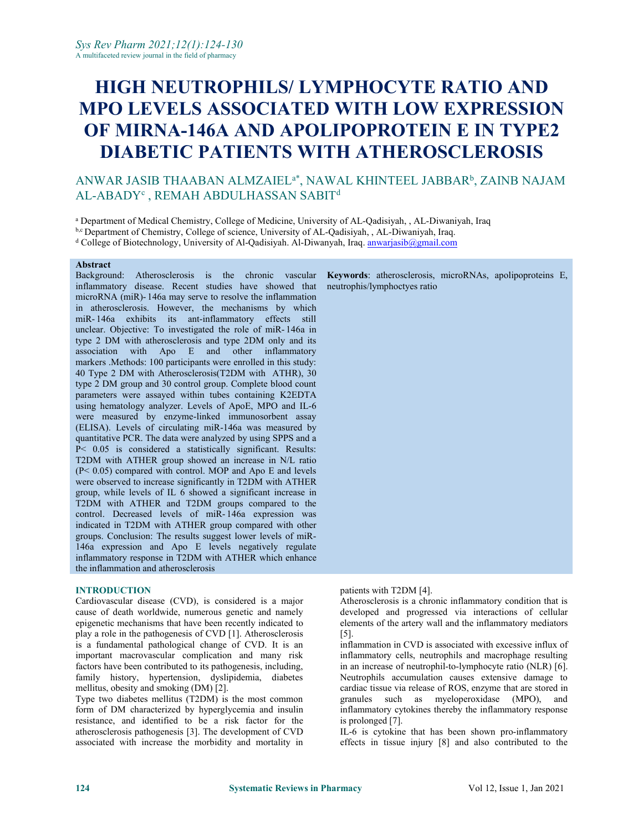# **HIGH NEUTROPHILS/ LYMPHOCYTE RATIO AND MPO LEVELSASSOCIATED WITH LOW EXPRESSION OF MIRNA-146A AND APOLIPOPROTEIN E IN TYPE2 DIABETIC PATIENTS WITH ATHEROSCLEROSIS**

#### ANWAR JASIB THAABAN ALMZAIELª\*, NAWAL KHINTEEL JABBAR<sup>b</sup>, ZAINB NAJAM AL-ABADY<sup>c</sup> , REMAH ABDULHASSAN SABIT d<sub>d</sub>

<sup>a</sup> Department of Medical Chemistry, College of Medicine, University of AL-Qadisiyah, , AL-Diwaniyah, Iraq

b,c Department of Chemistry, College of science, University of AL-Qadisiyah, , AL-Diwaniyah, Iraq.

<sup>d</sup> College of Biotechnology, University of Al-Qadisiyah. Al-Diwanyah, Iraq. [anwarjasib@gmail.com](mailto:anwarjasib@gmail.com)

#### **Abstract**

Background: Atherosclerosis is the chronic vascular inflammatory disease. Recent studies have showed that microRNA (miR)- 146a may serve to resolve the inflammation in atherosclerosis. However, the mechanisms by which miR- 146a exhibits its ant-inflammatory effects still unclear. Objective: To investigated the role of miR- 146a in type 2 DM with atherosclerosis and type 2DM only and its association with Apo E and other inflammatory markers .Methods: 100 participants were enrolled in this study: 40 Type 2 DM with Atherosclerosis(T2DM with ATHR), 30 type 2 DM group and 30 control group. Complete blood count parameters were assayed within tubes containing K2EDTA using hematology analyzer. Levels of ApoE, MPO and IL-6 were measured by enzyme-linked immunosorbent assay (ELISA). Levels of circulating miR-146a was measured by quantitative PCR. The data were analyzed by using SPPS and a P< 0.05 is considered a statistically significant. Results: T2DM with ATHER group showed an increase in N/L ratio  $(P< 0.05)$  compared with control. MOP and Apo E and levels were observed to increase significantly in T2DM with ATHER group, while levels of IL 6 showed a significant increase in T2DM with ATHER and T2DM groups compared to the control. Decreased levels of miR- 146a expression was indicated in T2DM with ATHER group compared with other groups. Conclusion: The results suggest lower levels of miR- 146a expression and Apo E levels negatively regulate inflammatory response in T2DM with ATHER which enhance the inflammation and atherosclerosis

### **INTRODUCTION**

Cardiovascular disease (CVD), is considered is a major cause of death worldwide, numerous genetic and namely epigenetic mechanisms that have been recently indicated to play a role in the pathogenesis of CVD  $[1]$ . Atherosclerosis is a fundamental pathological change of CVD. It is an important macrovascular complication and many risk inflammatory cells, neutrophils and macrophage resulting factors have been contributed to its pathogenesis, including, in an increase of neutrophil-to-lymphocyte ratio (NL factors have been contributed to its pathogenesis, including, family history, hypertension, dyslipidemia, diabetes mellitus, obesity and smoking (DM) [2].

Type two diabetes mellitus (T2DM) is the most common form of DM characterized by hyperglycemia and insulin resistance, and identified to be a risk factor for the atherosclerosis pathogenesis [3]. The development of CVD associated with increase the morbidity and mortality in

**Keywords**: atherosclerosis, microRNAs, apolipoproteins E, neutrophis/lymphoctyes ratio

patients with T2DM [4].

Atherosclerosis is a chronic inflammatory condition that is developed and progressed via interactions of cellular elements of the artery wall and the inflammatory mediators [5].

inflammation in CVD is associated with excessive influx of inflammatory cells, neutrophils and macrophage resulting Neutrophils accumulation causes extensive damage to cardiac tissue via release of ROS, enzyme that are stored in granules such as myeloperoxidase (MPO), and inflammatory cytokines thereby the inflammatory response is prolonged [7].

IL-6 is cytokine that has been shown pro-inflammatory effects in tissue injury [8] and also contributed to the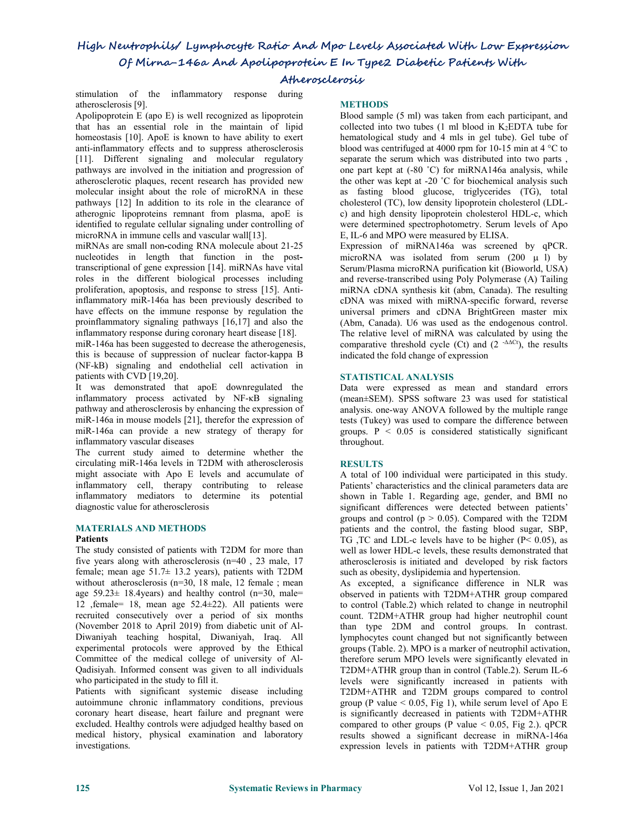# **Atherosclerosis**

stimulation of the inflammatory response during atherosclerosis [9].

Apolipoprotein  $E$  (apo  $E$ ) is well recognized as lipoprotein that has an essential role in the maintain of lipid homeostasis [10]. ApoE is known to have ability to exert anti-inflammatory effects and to suppress atherosclerosis [11]. Different signaling and molecular regulatory pathways are involved in the initiation and progression of atherosclerotic plaques, recent research has provided new molecular insight about the role of microRNA in these pathways [12] In addition to its role in the clearance of atherognic lipoproteins remnant from plasma, apoE is identified to regulate cellular signaling under controlling of microRNA in immune cells and vascular wall[13].

miRNAs are small non**-**coding RNA molecule about 21-25 nucleotides in length that function in the posttranscriptional of gene expression [14]. miRNAs have vital roles in the different biological processes including proliferation, apoptosis, and response to stress [15]. Antiinflammatory miR-146a has been previously described to have effects on the immune response by regulation the proinflammatory signaling pathways [16,17] and also the inflammatory response during coronary heart disease [18].

miR-146a has been suggested to decrease the atherogenesis, this is because of suppression of nuclear factor-kappa B (NF-kB) signaling and endothelial cell activation in patients with CVD [19,20].

It was demonstrated that apoE downregulated the inflammatory process activated by NF-κB signaling pathway and atherosclerosis by enhancing the expression of miR-146a in mouse models [21], therefor the expression of miR-146a can provide a new strategy of therapy for inflammatory vascular diseases

The current study aimed to determine whether the circulating miR-146a levels in T2DM with atherosclerosis might associate with Apo E levels and accumulate of inflammatory cell, therapy contributing to release inflammatory mediators to determine its potential diagnostic value for atherosclerosis

### **MATERIALS AND METHODS**

### **Patients**

The study consisted of patients with T2DM for more than five years along with atherosclerosis (n=40 , 23 male, 17 female; mean age 51.7± 13.2 years), patients with T2DM without atherosclerosis (n=30, 18 male, 12 female ; mean age  $59.23 \pm 18.4$ years) and healthy control (n=30, male= 12 ,female= 18, mean age 52.4±22). All patients were recruited consecutively over a period of six months (November <sup>2018</sup> to April 2019) from diabetic unit of Al-Diwaniyah teaching hospital, Diwaniyah, Iraq. All experimental protocols were approved by the Ethical Committee of the medical college of university of Al- Qadisiyah. Informed consent was given to all individuals who participated in the study to fill it.

Patients with significant systemic disease including autoimmune chronic inflammatory conditions, previous coronary heart disease, heart failure and pregnant were excluded. Healthy controls were adjudged healthy based on medical history, physical examination and laboratory investigations.

### **METHODS**

Blood sample (5 ml) was taken from each participant, and collected into two tubes  $(1 \text{ ml blood in K<sub>2</sub>EDTA tube for$ hematological study and 4 mls in gel tube). Gel tube of blood was centrifuged at 4000 rpm for 10-15 min at 4 °C to separate the serum which was distributed into two parts , one part kept at (-80 ˚C) for miRNA146a analysis, while the other was kept at -20 °C for biochemical analysis such as fasting blood glucose, triglycerides (TG), total cholesterol (TC), low density lipoprotein cholesterol (LDL c) and high density lipoprotein cholesterol HDL-c, which were determined spectrophotometry. Serum levels of Apo E, IL-6 and MPO were measured by ELISA.

Expression of miRNA146a was screened by qPCR. microRNA was isolated from serum  $(200 \text{ }\mu\text{ l})$  by Serum/Plasma microRNA purification kit (Bioworld, USA) and reverse-transcribed using Poly Polymerase (A) Tailing miRNA cDNA synthesis kit (abm, Canada). The resulting cDNA was mixed with miRNA-specific forward, reverse universal primers and cDNA BrightGreen master mix (Abm, Canada). U6 was used as the endogenous control. The relative level of miRNA was calculated by using the comparative threshold cycle (Ct) and  $(2 \cdot ^{\Delta\Delta Ct})$ , the results indicated the fold change of expression

### **STATISTICAL ANALYSIS**

Data were expressed as mean and standard errors (mean±SEM). SPSS software 23 was used for statistical analysis. one-way ANOVA followed by the multiple range tests (Tukey) was used to compare the difference between groups.  $P < 0.05$  is considered statistically significant throughout.

### **RESULTS**

A total of 100 individual were participated in this study. Patients' characteristics and the clinical parameters data are shown in Table 1. Regarding age, gender, and BMI no significant differences were detected between patients' groups and control ( $p > 0.05$ ). Compared with the T2DM patients and the control, the fasting blood sugar, SBP, TG ,TC and LDL-c levels have to be higher (P< 0.05), as well as lower HDL-c levels, these results demonstrated that atherosclerosis is initiated and developed by risk factors such as obesity, dyslipidemia and hypertension.

As excepted, a significance difference in NLR was observed in patients with T2DM+ATHR group compared to control (Table.2) which related to change in neutrophil count. T2DM+ATHR group had higher neutrophil count than type 2DM and control groups. In contrast. lymphocytes count changed but not significantly between groups (Table. 2). MPO is a marker of neutrophil activation, therefore serum MPO levels were significantly elevated in T2DM+ATHR group than in control(Table.2). Serum IL-6 levels were significantly increased in patients with T2DM+ATHR and T2DM groups compared to control group (P value  $< 0.05$ , Fig 1), while serum level of Apo E is significantly decreased in patients with T2DM+ATHR compared to other groups (P value  $< 0.05$ , Fig 2.). qPCR results showed a significant decrease in miRNA-146a expression levels in patients with T2DM+ATHR group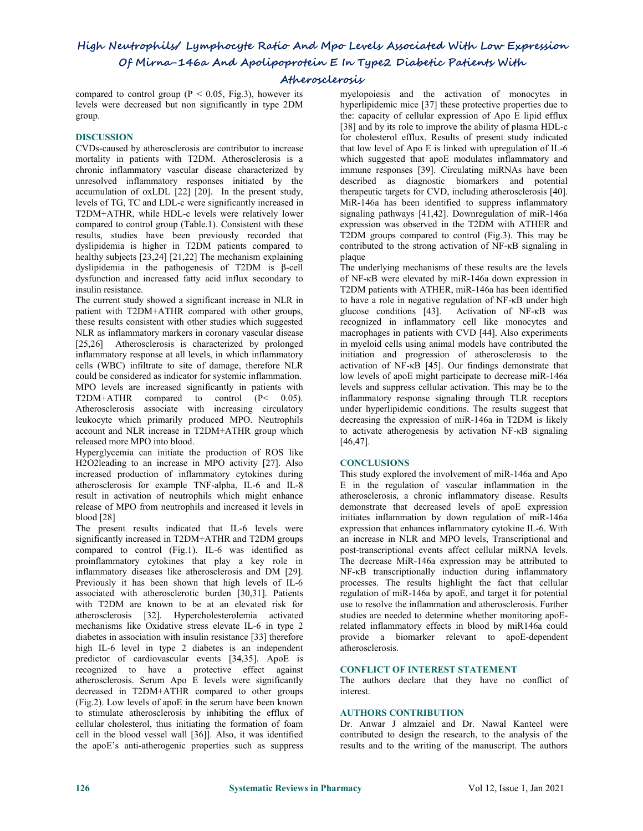# **Atherosclerosis**

compared to control group ( $P < 0.05$ , Fig.3), however its levels were decreased but non significantly in type 2DM group.

### **DISCUSSION**

CVDs-caused by atherosclerosis are contributor to increase mortality in patients with T2DM. Atherosclerosis is a chronic inflammatory vascular disease characterized by unresolved inflammatory responses initiated by the accumulation of oxLDL [22] [20]. In the present study, levels of TG, TC and LDL-c were significantly increased in T2DM+ATHR, while HDL-c levels were relatively lower compared to control group (Table.1). Consistent with these results, studies have been previously recorded that dyslipidemia is higher in T2DM patients compared to healthy subjects [23,24] [21,22] The mechanism explaining dyslipidemia in the pathogenesis of T2DM is β-cell dysfunction and increased fatty acid influx secondary to insulin resistance.

The current study showed a significant increase in NLR in patient with T2DM+ATHR compared with other groups, these results consistent with other studies which suggested NLR as inflammatory markers in coronary vascular disease [25,26] Atherosclerosis is characterized by prolonged inflammatory response at all levels, in which inflammatory cells (WBC) infiltrate to site of damage, therefore NLR could be considered as indicator for systemic inflammation. MPO levels are increased significantly in patients with T2DM+ATHR compared to control  $(P< 0.05)$ . Atherosclerosis associate with increasing circulatory leukocyte which primarily produced MPO. Neutrophils account and NLR increase in T2DM+ATHR group which released more MPO into blood.

Hyperglycemia can initiate the production of ROS like H2O2leading to an increase in MPO activity [27]. Also increased production of inflammatory cytokines during atherosclerosis for example TNF-alpha, IL-6 and IL-8 result in activation of neutrophils which might enhance release of MPO from neutrophils and increased it levels in blood [28]

The present results indicated that IL-6 levels were significantly increased in T2DM+ATHR and T2DM groups compared to control (Fig.1). IL-6 was identified as proinflammatory cytokines that play a key role in inflammatory diseases like atherosclerosis and DM [29]. Previously it has been shown that high levels of IL-6 associated with atherosclerotic burden [30,31]. Patients with T2DM are known to be at an elevated risk for atherosclerosis [32]. Hypercholesterolemia activated mechanisms like Oxidative stress elevate IL-6 in type 2 diabetes in association with insulin resistance [33] therefore high IL-6 level in type 2 diabetes is an independent predictor of cardiovascular events [34,35]. ApoE is recognized to have a protective effect against atherosclerosis. Serum Apo E levels were significantly decreased in T2DM+ATHR compared to other groups (Fig.2). Low levels of apoE in the serum have been known to stimulate atherosclerosis by inhibiting the efflux of cellular cholesterol, thus initiating the formation of foam cell in the blood vessel wall [36]]. Also, it was identified the apoE's anti-atherogenic properties such as suppress

myelopoiesis and the activation of monocytes in hyperlipidemic mice [37] these protective properties due to the: capacity of cellular expression of Apo E lipid efflux [38] and by its role to improve the ability of plasma HDL-c for cholesterol efflux. Results of present study indicated that low level of Apo E is linked with upregulation of IL-6 which suggested that apoE modulates inflammatory and immune responses [39]. Circulating miRNAs have been described as diagnostic biomarkers and potential therapeutic targets for CVD, including atherosclerosis [40]. MiR-146a has been identified to suppress inflammatory signaling pathways [41,42]. Downregulation of miR-146a expression was observed in the T2DM with ATHER and T2DM groups compared to control (Fig.3). This may be contributed to the strong activation of NF-κB signaling in plaque

The underlying mechanisms of these results are the levels of NF-κB were elevated by miR-146a down expression in T2DM patients with ATHER, miR-146a has been identified to have a role in negative regulation of NF-κB under high glucose conditions [43]. Activation of NF-κB was recognized in inflammatory cell like monocytes and macrophages in patients with CVD [44]. Also experiments in myeloid cells using animal models have contributed the initiation and progression of atherosclerosis to the activation of NF-κB [45]. Our findings demonstrate that low levels of apoE might participate to decrease miR-146a levels and suppress cellular activation. This may be to the inflammatory response signaling through TLR receptors under hyperlipidemic conditions. The results suggest that decreasing the expression of miR-146a in T2DM is likely to activate atherogenesis by activation NF-κB signaling [46,47].

## **CONCLUSIONS**

This study explored the involvement of miR-146a and Apo E in the regulation of vascular inflammation in the atherosclerosis, a chronic inflammatory disease. Results demonstrate that decreased levels of apoE expression initiates inflammation by down regulation of miR-146a expression that enhances inflammatory cytokine IL-6. With an increase in NLR and MPO levels, Transcriptional and post-transcriptional events affect cellular miRNA levels. The decrease MiR-146a expression may be attributed to NF-κB transcriptionally induction during inflammatory processes. The results highlight the fact that cellular regulation of miR-146a by apoE, and target it for potential use to resolve the inflammation and atherosclerosis. Further studies are needed to determine whether monitoring apoErelated inflammatory effects in blood by miR146a could provide a biomarker relevant to apoE-dependent atherosclerosis.

### **CONFLICT OF INTEREST STATEMENT**

The authors declare that they have no conflict of interest.

### **AUTHORS CONTRIBUTION**

Dr. Anwar J almzaiel and Dr. Nawal Kanteel were contributed to design the research, to the analysis of the results and to the writing of the manuscript. The authors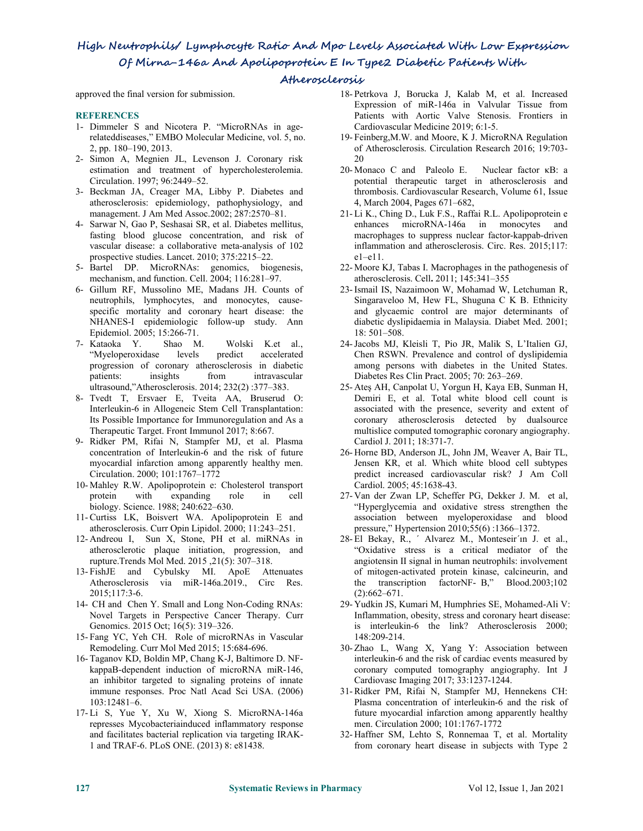# **Atherosclerosis**

approved the final version for submission.

### **REFERENCES**

- 1- Dimmeler S and Nicotera P. "MicroRNAs in agerelateddiseases," EMBO Molecular Medicine, vol. 5, no. 2, pp. 180–190, 2013.
- 2- Simon A, Megnien JL, Levenson J. Coronary risk estimation and treatment of hypercholesterolemia. Circulation. 1997; 96:2449–52.
- 3- Beckman JA, Creager MA, Libby P. Diabetes and atherosclerosis: epidemiology, pathophysiology, and management. J Am Med Assoc.2002; 287:2570–81.
- 4- Sarwar N, Gao P, Seshasai SR, et al. Diabetes mellitus, fasting blood glucose concentration, and risk of vascular disease: a collaborative meta-analysis of 102 prospective studies. Lancet. 2010; 375:2215–22.
- 5- Bartel DP. MicroRNAs: genomics, biogenesis, mechanism, and function. Cell. 2004; 116:281–97.
- 6- Gillum RF, Mussolino ME, Madans JH. Counts of neutrophils, lymphocytes, and monocytes, cause specific mortality and coronary heart disease: the NHANES-I epidemiologic follow-up study. Ann Epidemiol. 2005; 15:266-71.
- 7- Kataoka Y. Shao M. Wolski K.et al., "Myeloperoxidase levels predict accelerated progression of coronary atherosclerosis in diabetic patients: insights from intravascular ultrasound,"Atherosclerosis. 2014; 232(2) :377–383.
- 8- Tvedt T, Ersvaer E, Tveita AA, Bruserud O: Interleukin-6 in Allogeneic Stem Cell Transplantation: Its Possible Importance for Immunoregulation and As a Therapeutic Target. Front Immunol 2017; 8:667.
- 9- Ridker PM, Rifai N, Stampfer MJ, et al. Plasma concentration of Interleukin-6 and the risk of future myocardial infarction among apparently healthy men. Circulation. 2000; 101:1767–1772
- 10- Mahley R.W. Apolipoprotein e: Cholesterol transport protein with expanding role in cell biology. Science. 1988; 240:622–630.
- 11-Curtiss LK, Boisvert WA. Apolipoprotein E and atherosclerosis. Curr Opin Lipidol. 2000; 11:243–251.
- 12- [Andreou](https://www.ncbi.nlm.nih.gov/pubmed/?term=Andreou%20I%5BAuthor%5D&cauthor=true&cauthor_uid=25771097) I, [Sun](https://www.ncbi.nlm.nih.gov/pubmed/?term=Sun%20X%5BAuthor%5D&cauthor=true&cauthor_uid=25771097) X, [Stone,](https://www.ncbi.nlm.nih.gov/pubmed/?term=Stone%20PH%5BAuthor%5D&cauthor=true&cauthor_uid=25771097) PH et al. miRNAs in atherosclerotic plaque initiation, progression, and rupture.Trends Mol Med. 2015 ,21(5): [307–318.](https://www.ncbi.nlm.nih.gov/entrez/eutils/elink.fcgi?dbfrom=pubmed&retmode=ref&cmd=prlinks&id=25771097)
- 13- FishJE and Cybulsky MI. ApoE Attenuates Atherosclerosis via miR-146a.2019., Circ Res. 2015;117:3-6.
- 14- CH and [Chen](https://www.ncbi.nlm.nih.gov/pubmed/?term=Chen%20Y%5BAuthor%5D&cauthor=true&cauthor_uid=27047252) Y. Small and Long Non-Coding RNAs: Novel Targets in Perspective Cancer Therapy. [Curr](https://www.ncbi.nlm.nih.gov/pmc/articles/PMC4763970/) Genomics. 2015 Oct; 16(5): 319–326.
- 15- Fang YC, Yeh CH. Role of microRNAs in Vascular Remodeling. Curr Mol Med 2015; 15:684-696.
- 16- Taganov KD, Boldin MP, Chang K-J, Baltimore D. NF kappaB-dependent induction of microRNA miR-146, an inhibitor targeted to signaling proteins of innate immune responses. Proc Natl Acad Sci USA. (2006) 103:12481–6.
- 17- LiS, Yue Y, Xu W, Xiong S. MicroRNA-146a represses Mycobacteriainduced inflammatory response and facilitates bacterial replication via targeting IRAK- 1 and TRAF-6. PLoS ONE. (2013) 8: e81438.
- 18- Petrkova J, Borucka J, Kalab M, et al. Increased Expression of miR-146a in Valvular Tissue from Patients with Aortic Valve Stenosis. Frontiers in Cardiovascular Medicine 2019; 6:1-5.
- 19- Feinberg,M.W. and Moore, K J. MicroRNA Regulation of Atherosclerosis. Circulation Research 2016; 19:703- 20
- 20- [Monaco](javascript:;) C and [Paleolo](javascript:;) E. Nuclear factor κB: a potential therapeutic target in atherosclerosis and thrombosis. Cardiovascular Research, Volume 61, Issue 4, March 2004, Pages 671–682,
- 21- LiK., Ching D., Luk F.S., Raffai R.L. Apolipoprotein e enhances microRNA-146a in monocytes and macrophages to suppress nuclear factor-kappab-driven inflammation and atherosclerosis. Circ. Res. 2015;117:  $e1-e11$
- 22- Moore KJ, Tabas I. Macrophages in the pathogenesis of atherosclerosis. Cell**.** 2011; 145:341–355
- 23-Ismail IS, Nazaimoon W, Mohamad W, Letchuman R, Singaraveloo M, Hew FL, Shuguna C K B. Ethnicity and glycaemic control are major determinants of diabetic dyslipidaemia in Malaysia. Diabet Med. 2001; 18: 501–508.
- 24-Jacobs MJ, Kleisli T, Pio JR, Malik S, L'Italien GJ, Chen RSWN. Prevalence and control of dyslipidemia among persons with diabetes in the United States. Diabetes Res Clin Pract. 2005; 70: 263–269.
- 25- Ateş AH, Canpolat U, Yorgun H, Kaya EB, Sunman H, Demiri E, et al. Total white blood cell count is associated with the presence, severity and extent of coronary atherosclerosis detected by dualsource multislice computed tomographic coronary angiography. Cardiol J. 2011; 18:371-7.
- 26- Horne BD, Anderson JL, John JM, Weaver A, Bair TL, Jensen KR, et al. Which white blood cell subtypes predict increased cardiovascular risk? J Am Coll Cardiol. 2005; 45:1638-43.
- 27- Van der Zwan LP, Scheffer PG, Dekker J. M. et al, "Hyperglycemia and oxidative stress strengthen the association between myeloperoxidase and blood pressure," Hypertension 2010;55(6) :1366–1372.
- 28- El Bekay, R., ' Alvarez M., Monteseir'ın J. et al., "Oxidative stress is a critical mediator of the angiotensin II signal in human neutrophils: involvement of mitogen-activated protein kinase, calcineurin, and the transcription factorNF- B," Blood.2003;102 (2):662–671.
- 29- Yudkin JS, Kumari M, Humphries SE, Mohamed-Ali V: Inflammation, obesity, stress and coronary heart disease: is interleukin-6 the link? Atherosclerosis 2000; 148:209-214.
- 30- Zhao L, Wang X, Yang Y: Association between interleukin-6 and the risk of cardiac events measured by coronary computed tomography angiography. Int J Cardiovasc Imaging 2017; 33:1237-1244.
- 31-Ridker PM, Rifai N, Stampfer MJ, Hennekens CH: Plasma concentration of interleukin-6 and the risk of future myocardial infarction among apparently healthy men. Circulation 2000; 101:1767-1772
- 32- Haffner SM, Lehto S, Ronnemaa T, et al. Mortality from coronary heart disease in subjects with Type 2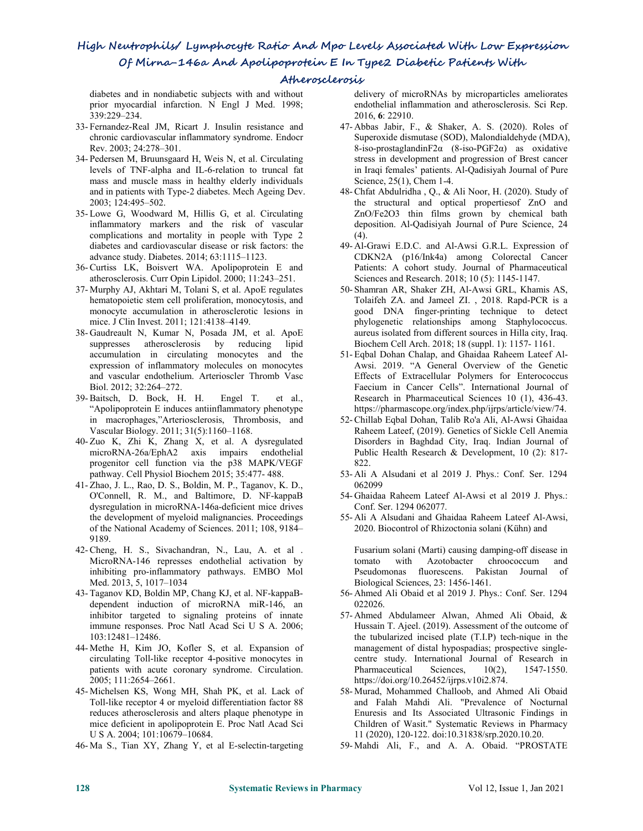# **Atherosclerosis**

diabetes and in nondiabetic subjects with and without prior myocardial infarction. N Engl J Med. 1998; 339:229–234.

- 33- Fernandez-Real JM, Ricart J. Insulin resistance and chronic cardiovascular inflammatory syndrome. Endocr Rev. 2003; 24:278–301.
- 34- Pedersen M, Bruunsgaard H, Weis N, et al. Circulating levels of TNF-alpha and IL-6-relation to truncal fat mass and muscle mass in healthy elderly individuals and in patients with Type-2 diabetes. Mech Ageing Dev. 2003; 124:495–502.
- 35- Lowe G, Woodward M, Hillis G, et al. Circulating inflammatory markers and the risk of vascular complications and mortality in people with Type 2 diabetes and cardiovascular disease or risk factors: the advance study. Diabetes. 2014; 63:1115–1123.
- 36-Curtiss LK, Boisvert WA. Apolipoprotein E and atherosclerosis. Curr Opin Lipidol. 2000; 11:243–251.
- 37- Murphy AJ, Akhtari M, Tolani S, et al. ApoE regulates hematopoietic stem cell proliferation, monocytosis, and monocyte accumulation in atherosclerotic lesions in mice. J Clin Invest. 2011; 121:4138–4149.
- 38- Gaudreault N, Kumar N, Posada JM, et al. ApoE suppresses atherosclerosis by reducing lipid accumulation in circulating monocytes and the expression of inflammatory molecules on monocytes and vascular endothelium. Arterioscler Thromb Vasc Biol. 2012; 32:264–272.
- 39-Baitsch, D. Bock, H. H. Engel T. et al., "Apolipoprotein E induces antiinflammatory phenotype in macrophages,"Arteriosclerosis, Thrombosis, and Vascular Biology. 2011; 31(5):1160–1168.
- 40- Zuo K, Zhi K, Zhang X, et al. A dysregulated microRNA-26a/EphA2 axis impairs endothelial progenitor cell function via the p38 MAPK/VEGF pathway. Cell Physiol Biochem 2015; 35:477- 488.
- 41- Zhao, J. L., Rao, D. S., Boldin, M. P., Taganov, K. D., O'Connell, R. M., and Baltimore, D. NF-kappaB dysregulation in microRNA-146a-deficient mice drives the development of myeloid malignancies. Proceedings of the National Academy of Sciences. 2011; 108, 9184– 9189.
- 42-Cheng, H. S., Sivachandran, N., Lau, A. et al . MicroRNA-146 represses endothelial activation by tomato with inhibiting pro-inflammatory pathways.EMBO Mol Med. 2013, 5, 1017–1034
- 43- Taganov KD, Boldin MP, Chang KJ, et al. NF-kappaB dependent induction of microRNA miR-146, an inhibitor targeted to signaling proteins of innate immune responses. Proc Natl Acad Sci U S A. 2006; 103:12481–12486.
- 44- Methe H, Kim JO, Kofler S, et al. Expansion of circulating Toll-like receptor 4-positive monocytes in patients with acute coronary syndrome. Circulation. 2005; 111:2654–2661.
- 45- Michelsen KS, Wong MH, Shah PK, et al.Lack of Toll-like receptor 4 or myeloid differentiation factor 88 reduces atherosclerosis and alters plaque phenotype in mice deficient in apolipoprotein E. Proc Natl Acad Sci U S A. 2004; 101:10679–10684.
- 46- Ma S., Tian XY, Zhang Y, et al E-selectin-targeting

delivery of microRNAs by microparticles ameliorates endothelial inflammation and atherosclerosis. Sci Rep. 2016, **6**: 22910.

- 47- Abbas Jabir, F., & Shaker, A. S. (2020). Roles of Superoxide dismutase (SOD), Malondialdehyde (MDA), 8-iso-prostaglandin $F2\alpha$  (8-iso-PGF2 $\alpha$ ) as oxidative stress in development and progression of Brest cancer in Iraqi females' patients. Al-Qadisiyah Journal of Pure Science, 25(1), Chem 1-4.
- 48-Chfat Abdulridha , Q., & Ali Noor, H. (2020). Study of the structural and optical propertiesof ZnO and ZnO/Fe2O3 thin films grown by chemical bath deposition. Al-Qadisiyah Journal of Pure Science, 24  $(4).$
- 49- Al-Grawi E.D.C. and Al-Awsi G.R.L. Expression of CDKN2A (p16/Ink4a) among Colorectal Cancer Patients: A cohort study. Journal of Pharmaceutical Sciences and Research. 2018; 10 (5): 1145-1147.
- 50- Shamran AR, Shaker ZH, Al-Awsi GRL, Khamis AS, Tolaifeh ZA. and Jameel ZI. , 2018. Rapd-PCR is a good DNA finger-printing technique to detect phylogenetic relationships among Staphylococcus. aureus isolated from different sources in Hilla city, Iraq. Biochem Cell Arch. 2018; 18 (suppl. 1): 1157- 1161.
- 51- Eqbal Dohan Chalap, and Ghaidaa Raheem Lateef Al- Awsi. 2019. "A General Overview of the Genetic Effects of Extracellular Polymers for Enterococcus Faecium in Cancer Cells". International Journal of Research in Pharmaceutical Sciences 10 (1), 436-43. https://pharmascope.org/index.php/ijrps/article/view/74.
- 52-Chillab Eqbal Dohan, Talib Ro'a Ali, Al-Awsi Ghaidaa Raheem Lateef, (2019). Genetics of Sickle Cell Anemia Disorders in Baghdad City, Iraq. Indian Journal of Public Health Research & Development, 10 (2): 817- 822.
- 53- Ali A Alsudani et al 2019 J. Phys.: Conf. Ser. 1294 062099
- 54- Ghaidaa Raheem Lateef Al-Awsi et al 2019 J. Phys.: Conf. Ser. 1294 062077.
- 55- Ali A Alsudani and Ghaidaa Raheem Lateef Al-Awsi, 2020. Biocontrol of Rhizoctonia solani (Kühn) and

Fusarium solani (Marti) causing damping-off disease in Azotobacter chroococcum and Pseudomonas fluorescens. Pakistan Journal of Biological Sciences, 23: 1456-1461.

- 56- Ahmed Ali Obaid et al 2019 J. Phys.: Conf. Ser. 1294 022026.
- 57- Ahmed Abdulameer Alwan, Ahmed Ali Obaid, & Hussain T. Ajeel. (2019). Assessment of the outcome of the tubularized incised plate (T.I.P) tech-nique in the management of distal hypospadias; prospective single centre study. International Journal of Research in Pharmaceutical Sciences,  $10(2)$ , 1547-1550. https://doi.org/10.26452/ijrps.v10i2.874.
- 58- Murad, Mohammed Challoob, and Ahmed Ali Obaid and Falah Mahdi Ali. "Prevalence of Nocturnal Enuresis and Its Associated Ultrasonic Findings in Children of Wasit." Systematic Reviews in Pharmacy 11 (2020), 120-122. doi:10.31838/srp.2020.10.20.
- 59- Mahdi Ali, F., and A. A. Obaid. "PROSTATE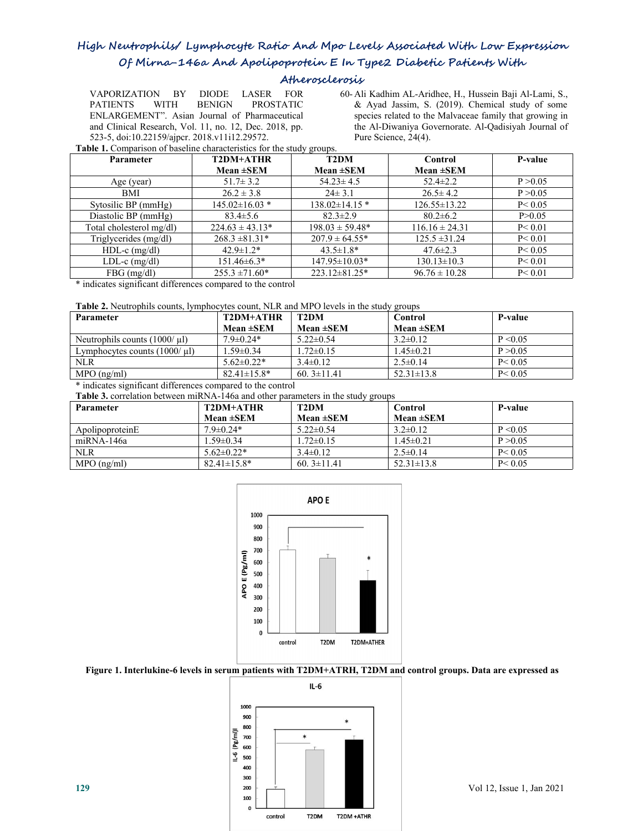# **Atherosclerosis**

VAPORIZATION BY DIODE LASER FOR PATIENTS WITH BENIGN PROSTATIC & Ayad Jassim, S. (2019). Chemical study of some ENLARGEMENT". Asian Journal of Pharmaceutical and Clinical Research, Vol. 11, no. 12, Dec. 2018, pp.

VAPORIZATION BY DIODE LASER FOR 60-Ali Kadhim AL-Aridhee, H., Hussein Baji Al-Lami, S., PATIENTS WITH BENIGN PROSTATIC & Ayad Jassim, S. (2019). Chemical study of some species related to the Malvaceae family that growing i species related to the Malvaceae family that growing in the Al-Diwaniya Governorate. Al-Qadisiyah Journal of Pure Science, 24(4).

**Table 1.** Comparison of baseline characteristics for the study groups.

| Parameter                                                                                                                                                                                                                                     | T2DM+ATHR            | <b>T2DM</b>          | Control            | P-value  |
|-----------------------------------------------------------------------------------------------------------------------------------------------------------------------------------------------------------------------------------------------|----------------------|----------------------|--------------------|----------|
|                                                                                                                                                                                                                                               | Mean $\pm$ SEM       | Mean $\pm$ SEM       | Mean $\pm$ SEM     |          |
| Age (year)                                                                                                                                                                                                                                    | $51.7 \pm 3.2$       | $54.23 \pm 4.5$      | $52.4 \pm 2.2$     | P > 0.05 |
| <b>BMI</b>                                                                                                                                                                                                                                    | $26.2 \pm 3.8$       | $24 \pm 3.1$         | $26.5 \pm 4.2$     | P > 0.05 |
| Sytosilic BP (mmHg)                                                                                                                                                                                                                           | $145.02 \pm 16.03$ * | $138.02 \pm 14.15$ * | $126.55 \pm 13.22$ | P < 0.05 |
| Diastolic BP (mmHg)                                                                                                                                                                                                                           | $83.4 \pm 5.6$       | $82.3 \pm 2.9$       | $80.2 \pm 6.2$     | P > 0.05 |
| Total cholesterol mg/dl)                                                                                                                                                                                                                      | $224.63 \pm 43.13^*$ | $198.03 \pm 59.48^*$ | $116.16 \pm 24.31$ | P < 0.01 |
| Triglycerides (mg/dl)                                                                                                                                                                                                                         | $268.3 \pm 81.31*$   | $207.9 \pm 64.55*$   | $125.5 \pm 31.24$  | P < 0.01 |
| $HDL-c$ (mg/dl)                                                                                                                                                                                                                               | $42.9 \pm 1.2^*$     | $43.5 \pm 1.8*$      | $47.6 \pm 2.3$     | P < 0.05 |
| LDL-c $(mg/dl)$                                                                                                                                                                                                                               | $151.46\pm6.3*$      | $147.95 \pm 10.03*$  | $130.13 \pm 10.3$  | P < 0.01 |
| $FBG$ (mg/dl)                                                                                                                                                                                                                                 | $255.3 \pm 71.60*$   | $223.12 \pm 81.25$ * | $96.76 \pm 10.28$  | P < 0.01 |
| $\mathbf{a}$ , and a set of the set of the set of the set of the set of the set of the set of the set of the set of the set of the set of the set of the set of the set of the set of the set of the set of the set of the set of<br>$\cdots$ |                      |                      |                    |          |

\* indicates significant differences compared to the control

**Table 2.** Neutrophils counts, lymphocytes count, NLR and MPO levels in the study groups

| Parameter                         | T2DM+ATHR          | T2DM            | Control          | P-value      |
|-----------------------------------|--------------------|-----------------|------------------|--------------|
|                                   | Mean $\pm$ SEM     | Mean $\pm$ SEM  | Mean $\pm$ SEM   |              |
| Neutrophils counts $(1000/\mu l)$ | $7.9 \pm 0.24*$    | $5.22 \pm 0.54$ | $3.2 \pm 0.12$   | $P \le 0.05$ |
| Lymphocytes counts $(1000/\mu l)$ | $1.59 \pm 0.34$    | $1.72 \pm 0.15$ | $45\pm0.21$      | P > 0.05     |
| <b>NLR</b>                        | $5.62 \pm 0.22*$   | $3.4\pm 0.12$   | $2.5 \pm 0.14$   | P < 0.05     |
| $MPO$ (ng/ml)                     | $82.41 \pm 15.8^*$ | 60. $3\pm11.41$ | $52.31 \pm 13.8$ | P < 0.05     |

\* indicates significant differences compared to the control

**Table 3.** correlation between miRNA-146a and other parameters in the study groups

|                  |                    | - -               |                  |              |
|------------------|--------------------|-------------------|------------------|--------------|
| <b>Parameter</b> | T2DM+ATHR          | T <sub>2</sub> DM | Control          | P-value      |
|                  | Mean $\pm$ SEM     | Mean $\pm$ SEM    | Mean $\pm$ SEM   |              |
| ApolipoproteinE  | $7.9 \pm 0.24*$    | $5.22 \pm 0.54$   | $3.2\pm0.12$     | $P \le 0.05$ |
| $miRNA-146a$     | $1.59 \pm 0.34$    | .72 $\pm$ 0.15    | $1.45 \pm 0.21$  | P > 0.05     |
| <b>NLR</b>       | $5.62 \pm 0.22*$   | $3.4 \pm 0.12$    | $2.5 \pm 0.14$   | P < 0.05     |
| $MPO$ (ng/ml)    | $82.41 \pm 15.8^*$ | 60. $3\pm11.41$   | $52.31 \pm 13.8$ | P < 0.05     |



#### Figure 1. Interlukine-6 levels in serum patients with T2DM+ATRH, T2DM and control groups. Data are expressed as